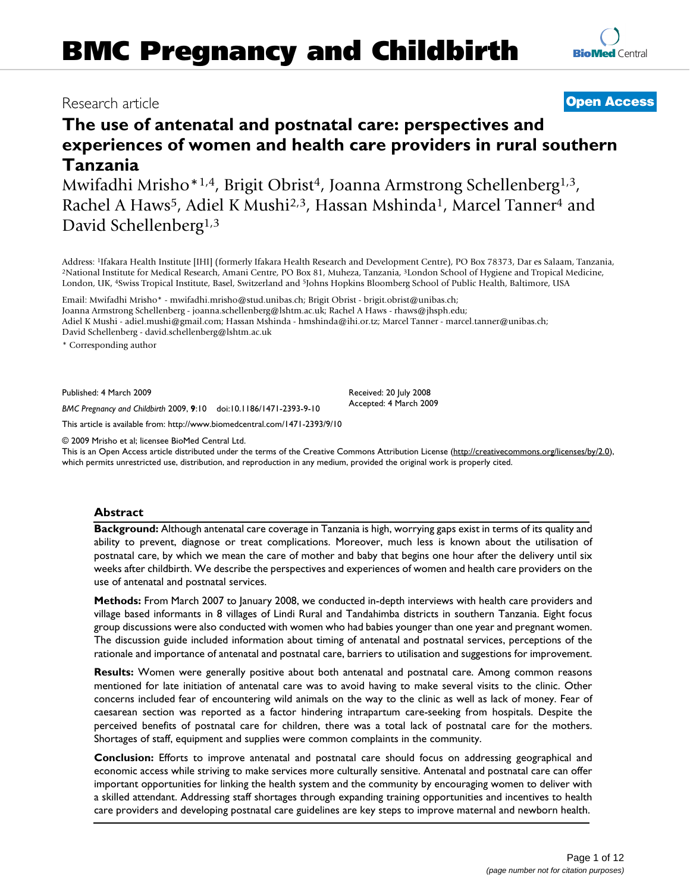# Research article **[Open Access](http://www.biomedcentral.com/info/about/charter/)**

# **The use of antenatal and postnatal care: perspectives and experiences of women and health care providers in rural southern Tanzania**

Mwifadhi Mrisho\*<sup>1,4</sup>, Brigit Obrist<sup>4</sup>, Joanna Armstrong Schellenberg<sup>1,3</sup>, Rachel A Haws<sup>5</sup>, Adiel K Mushi<sup>2,3</sup>, Hassan Mshinda<sup>1</sup>, Marcel Tanner<sup>4</sup> and David Schellenberg1,3

Address: <sup>1</sup>Ifakara Health Institute [IHI] (formerly Ifakara Health Research and Development Centre), PO Box 78373, Dar es Salaam, Tanzania, <sup>2</sup>National Institute for Medical Research, Amani Centre, PO Box 81, Muheza, Tanz London, UK, 4Swiss Tropical Institute, Basel, Switzerland and 5Johns Hopkins Bloomberg School of Public Health, Baltimore, USA

Email: Mwifadhi Mrisho\* - mwifadhi.mrisho@stud.unibas.ch; Brigit Obrist - brigit.obrist@unibas.ch; Joanna Armstrong Schellenberg - joanna.schellenberg@lshtm.ac.uk; Rachel A Haws - rhaws@jhsph.edu; Adiel K Mushi - adiel.mushi@gmail.com; Hassan Mshinda - hmshinda@ihi.or.tz; Marcel Tanner - marcel.tanner@unibas.ch; David Schellenberg - david.schellenberg@lshtm.ac.uk

\* Corresponding author

Published: 4 March 2009

Received: 20 July 2008 Accepted: 4 March 2009

*BMC Pregnancy and Childbirth* 2009, **9**:10 doi:10.1186/1471-2393-9-10 [This article is available from: http://www.biomedcentral.com/1471-2393/9/10](http://www.biomedcentral.com/1471-2393/9/10)

© 2009 Mrisho et al; licensee BioMed Central Ltd.

This is an Open Access article distributed under the terms of the Creative Commons Attribution License [\(http://creativecommons.org/licenses/by/2.0\)](http://creativecommons.org/licenses/by/2.0), which permits unrestricted use, distribution, and reproduction in any medium, provided the original work is properly cited.

# **Abstract**

**Background:** Although antenatal care coverage in Tanzania is high, worrying gaps exist in terms of its quality and ability to prevent, diagnose or treat complications. Moreover, much less is known about the utilisation of postnatal care, by which we mean the care of mother and baby that begins one hour after the delivery until six weeks after childbirth. We describe the perspectives and experiences of women and health care providers on the use of antenatal and postnatal services.

**Methods:** From March 2007 to January 2008, we conducted in-depth interviews with health care providers and village based informants in 8 villages of Lindi Rural and Tandahimba districts in southern Tanzania. Eight focus group discussions were also conducted with women who had babies younger than one year and pregnant women. The discussion guide included information about timing of antenatal and postnatal services, perceptions of the rationale and importance of antenatal and postnatal care, barriers to utilisation and suggestions for improvement.

**Results:** Women were generally positive about both antenatal and postnatal care. Among common reasons mentioned for late initiation of antenatal care was to avoid having to make several visits to the clinic. Other concerns included fear of encountering wild animals on the way to the clinic as well as lack of money. Fear of caesarean section was reported as a factor hindering intrapartum care-seeking from hospitals. Despite the perceived benefits of postnatal care for children, there was a total lack of postnatal care for the mothers. Shortages of staff, equipment and supplies were common complaints in the community.

**Conclusion:** Efforts to improve antenatal and postnatal care should focus on addressing geographical and economic access while striving to make services more culturally sensitive. Antenatal and postnatal care can offer important opportunities for linking the health system and the community by encouraging women to deliver with a skilled attendant. Addressing staff shortages through expanding training opportunities and incentives to health care providers and developing postnatal care guidelines are key steps to improve maternal and newborn health.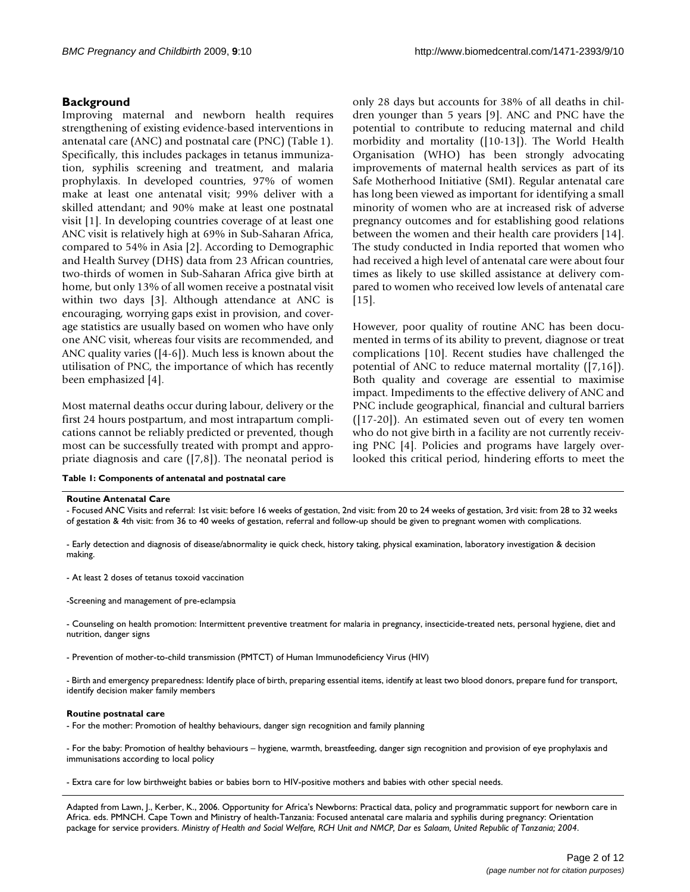### **Background**

Improving maternal and newborn health requires strengthening of existing evidence-based interventions in antenatal care (ANC) and postnatal care (PNC) (Table [1\)](#page-1-0). Specifically, this includes packages in tetanus immunization, syphilis screening and treatment, and malaria prophylaxis. In developed countries, 97% of women make at least one antenatal visit; 99% deliver with a skilled attendant; and 90% make at least one postnatal visit [[1](#page-9-0)]. In developing countries coverage of at least one ANC visit is relatively high at 69% in Sub-Saharan Africa, compared to 54% in Asia [\[2\]](#page-9-1). According to Demographic and Health Survey (DHS) data from 23 African countries, two-thirds of women in Sub-Saharan Africa give birth at home, but only 13% of all women receive a postnatal visit within two days [\[3\]](#page-9-2). Although attendance at ANC is encouraging, worrying gaps exist in provision, and coverage statistics are usually based on women who have only one ANC visit, whereas four visits are recommended, and ANC quality varies ([[4](#page-9-3)[-6\]](#page-10-0)). Much less is known about the utilisation of PNC, the importance of which has recently been emphasized [\[4\]](#page-9-3).

Most maternal deaths occur during labour, delivery or the first 24 hours postpartum, and most intrapartum complications cannot be reliably predicted or prevented, though most can be successfully treated with prompt and appropriate diagnosis and care ([[7](#page-10-1),[8\]](#page-10-2)). The neonatal period is only 28 days but accounts for 38% of all deaths in children younger than 5 years [[9](#page-10-3)]. ANC and PNC have the potential to contribute to reducing maternal and child morbidity and mortality ([\[10](#page-10-4)[-13\]](#page-10-5)). The World Health Organisation (WHO) has been strongly advocating improvements of maternal health services as part of its Safe Motherhood Initiative (SMI). Regular antenatal care has long been viewed as important for identifying a small minority of women who are at increased risk of adverse pregnancy outcomes and for establishing good relations between the women and their health care providers [\[14](#page-10-6)]. The study conducted in India reported that women who had received a high level of antenatal care were about four times as likely to use skilled assistance at delivery compared to women who received low levels of antenatal care [[15](#page-10-7)].

However, poor quality of routine ANC has been documented in terms of its ability to prevent, diagnose or treat complications [\[10](#page-10-4)]. Recent studies have challenged the potential of ANC to reduce maternal mortality ([\[7](#page-10-1)[,16](#page-10-8)]). Both quality and coverage are essential to maximise impact. Impediments to the effective delivery of ANC and PNC include geographical, financial and cultural barriers ([\[17](#page-10-9)[-20](#page-10-10)]). An estimated seven out of every ten women who do not give birth in a facility are not currently receiving PNC [[4](#page-9-3)]. Policies and programs have largely overlooked this critical period, hindering efforts to meet the

<span id="page-1-0"></span>**Table 1: Components of antenatal and postnatal care**

**Routine Antenatal Care**

- Focused ANC Visits and referral: 1st visit: before 16 weeks of gestation, 2nd visit: from 20 to 24 weeks of gestation, 3rd visit: from 28 to 32 weeks of gestation & 4th visit: from 36 to 40 weeks of gestation, referral and follow-up should be given to pregnant women with complications.

- Early detection and diagnosis of disease/abnormality ie quick check, history taking, physical examination, laboratory investigation & decision making.
- At least 2 doses of tetanus toxoid vaccination
- -Screening and management of pre-eclampsia

- Counseling on health promotion: Intermittent preventive treatment for malaria in pregnancy, insecticide-treated nets, personal hygiene, diet and nutrition, danger signs

- Prevention of mother-to-child transmission (PMTCT) of Human Immunodeficiency Virus (HIV)

- Birth and emergency preparedness: Identify place of birth, preparing essential items, identify at least two blood donors, prepare fund for transport, identify decision maker family members

#### **Routine postnatal care**

- For the mother: Promotion of healthy behaviours, danger sign recognition and family planning

- For the baby: Promotion of healthy behaviours – hygiene, warmth, breastfeeding, danger sign recognition and provision of eye prophylaxis and immunisations according to local policy

- Extra care for low birthweight babies or babies born to HIV-positive mothers and babies with other special needs.

Adapted from Lawn, J., Kerber, K., 2006. Opportunity for Africa's Newborns: Practical data, policy and programmatic support for newborn care in Africa. eds. PMNCH. Cape Town and Ministry of health-Tanzania: Focused antenatal care malaria and syphilis during pregnancy: Orientation package for service providers. *Ministry of Health and Social Welfare, RCH Unit and NMCP, Dar es Salaam, United Republic of Tanzania; 2004*.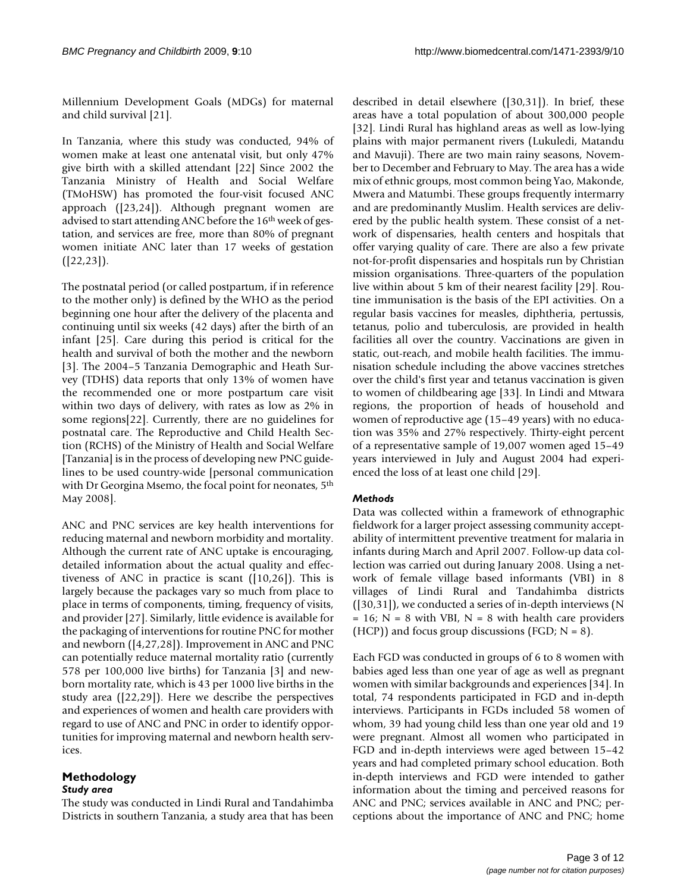Millennium Development Goals (MDGs) for maternal and child survival [\[21\]](#page-10-11).

In Tanzania, where this study was conducted, 94% of women make at least one antenatal visit, but only 47% give birth with a skilled attendant [\[22](#page-10-12)] Since 2002 the Tanzania Ministry of Health and Social Welfare (TMoHSW) has promoted the four-visit focused ANC approach ([[23,](#page-10-13)[24\]](#page-10-14)). Although pregnant women are advised to start attending ANC before the 16<sup>th</sup> week of gestation, and services are free, more than 80% of pregnant women initiate ANC later than 17 weeks of gestation  $([22, 23]).$  $([22, 23]).$  $([22, 23]).$  $([22, 23]).$  $([22, 23]).$ 

The postnatal period (or called postpartum, if in reference to the mother only) is defined by the WHO as the period beginning one hour after the delivery of the placenta and continuing until six weeks (42 days) after the birth of an infant [[25\]](#page-10-15). Care during this period is critical for the health and survival of both the mother and the newborn [[3\]](#page-9-2). The 2004–5 Tanzania Demographic and Heath Survey (TDHS) data reports that only 13% of women have the recommended one or more postpartum care visit within two days of delivery, with rates as low as 2% in some regions[\[22](#page-10-12)]. Currently, there are no guidelines for postnatal care. The Reproductive and Child Health Section (RCHS) of the Ministry of Health and Social Welfare [Tanzania] is in the process of developing new PNC guidelines to be used country-wide [personal communication with Dr Georgina Msemo, the focal point for neonates, 5<sup>th</sup> May 2008].

ANC and PNC services are key health interventions for reducing maternal and newborn morbidity and mortality. Although the current rate of ANC uptake is encouraging, detailed information about the actual quality and effectiveness of ANC in practice is scant ([[10,](#page-10-4)[26](#page-10-16)]). This is largely because the packages vary so much from place to place in terms of components, timing, frequency of visits, and provider [\[27](#page-10-17)]. Similarly, little evidence is available for the packaging of interventions for routine PNC for mother and newborn ([[4](#page-9-3),[27](#page-10-17)[,28\]](#page-10-18)). Improvement in ANC and PNC can potentially reduce maternal mortality ratio (currently 578 per 100,000 live births) for Tanzania [\[3\]](#page-9-2) and newborn mortality rate, which is 43 per 1000 live births in the study area ([[22,](#page-10-12)[29](#page-10-19)]). Here we describe the perspectives and experiences of women and health care providers with regard to use of ANC and PNC in order to identify opportunities for improving maternal and newborn health services.

# **Methodology**

# *Study area*

The study was conducted in Lindi Rural and Tandahimba Districts in southern Tanzania, a study area that has been

described in detail elsewhere ([[30](#page-10-20)[,31](#page-10-21)]). In brief, these areas have a total population of about 300,000 people [[32](#page-10-22)]. Lindi Rural has highland areas as well as low-lying plains with major permanent rivers (Lukuledi, Matandu and Mavuji). There are two main rainy seasons, November to December and February to May. The area has a wide mix of ethnic groups, most common being Yao, Makonde, Mwera and Matumbi. These groups frequently intermarry and are predominantly Muslim. Health services are delivered by the public health system. These consist of a network of dispensaries, health centers and hospitals that offer varying quality of care. There are also a few private not-for-profit dispensaries and hospitals run by Christian mission organisations. Three-quarters of the population live within about 5 km of their nearest facility [\[29](#page-10-19)]. Routine immunisation is the basis of the EPI activities. On a regular basis vaccines for measles, diphtheria, pertussis, tetanus, polio and tuberculosis, are provided in health facilities all over the country. Vaccinations are given in static, out-reach, and mobile health facilities. The immunisation schedule including the above vaccines stretches over the child's first year and tetanus vaccination is given to women of childbearing age [[33\]](#page-10-23). In Lindi and Mtwara regions, the proportion of heads of household and women of reproductive age (15–49 years) with no education was 35% and 27% respectively. Thirty-eight percent of a representative sample of 19,007 women aged 15–49 years interviewed in July and August 2004 had experienced the loss of at least one child [\[29\]](#page-10-19).

# *Methods*

Data was collected within a framework of ethnographic fieldwork for a larger project assessing community acceptability of intermittent preventive treatment for malaria in infants during March and April 2007. Follow-up data collection was carried out during January 2008. Using a network of female village based informants (VBI) in 8 villages of Lindi Rural and Tandahimba districts ([\[30](#page-10-20),[31\]](#page-10-21)), we conducted a series of in-depth interviews (N  $= 16$ ; N = 8 with VBI, N = 8 with health care providers (HCP)) and focus group discussions (FGD;  $N = 8$ ).

Each FGD was conducted in groups of 6 to 8 women with babies aged less than one year of age as well as pregnant women with similar backgrounds and experiences [\[34](#page-10-24)]. In total, 74 respondents participated in FGD and in-depth interviews. Participants in FGDs included 58 women of whom, 39 had young child less than one year old and 19 were pregnant. Almost all women who participated in FGD and in-depth interviews were aged between 15–42 years and had completed primary school education. Both in-depth interviews and FGD were intended to gather information about the timing and perceived reasons for ANC and PNC; services available in ANC and PNC; perceptions about the importance of ANC and PNC; home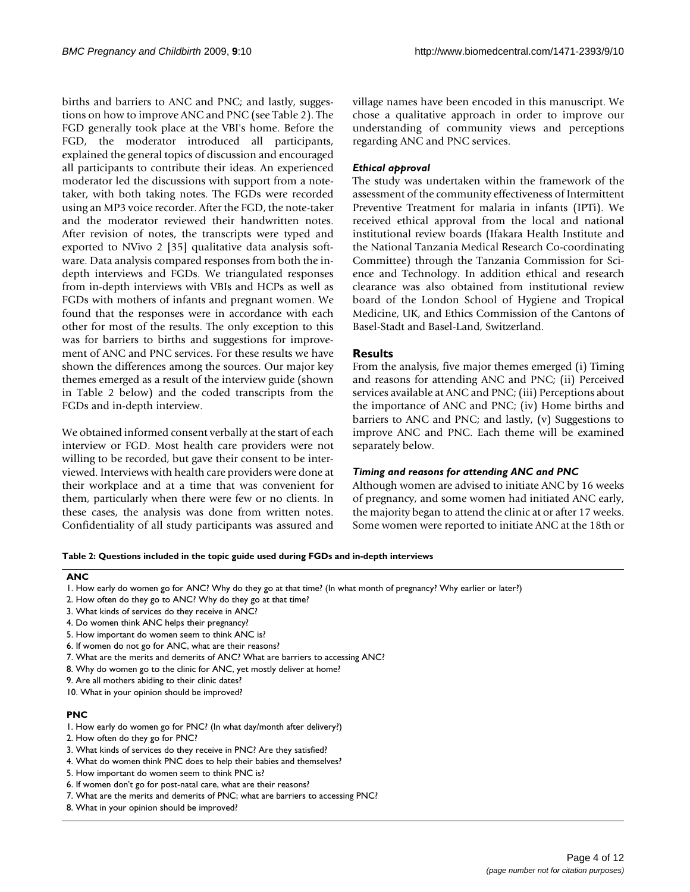births and barriers to ANC and PNC; and lastly, suggestions on how to improve ANC and PNC (see Table [2](#page-3-0)). The FGD generally took place at the VBI's home. Before the FGD, the moderator introduced all participants, explained the general topics of discussion and encouraged all participants to contribute their ideas. An experienced moderator led the discussions with support from a notetaker, with both taking notes. The FGDs were recorded using an MP3 voice recorder. After the FGD, the note-taker and the moderator reviewed their handwritten notes. After revision of notes, the transcripts were typed and exported to NVivo 2 [[35\]](#page-10-25) qualitative data analysis software. Data analysis compared responses from both the indepth interviews and FGDs. We triangulated responses from in-depth interviews with VBIs and HCPs as well as FGDs with mothers of infants and pregnant women. We found that the responses were in accordance with each other for most of the results. The only exception to this was for barriers to births and suggestions for improvement of ANC and PNC services. For these results we have shown the differences among the sources. Our major key themes emerged as a result of the interview guide (shown in Table [2](#page-3-0) below) and the coded transcripts from the FGDs and in-depth interview.

We obtained informed consent verbally at the start of each interview or FGD. Most health care providers were not willing to be recorded, but gave their consent to be interviewed. Interviews with health care providers were done at their workplace and at a time that was convenient for them, particularly when there were few or no clients. In these cases, the analysis was done from written notes. Confidentiality of all study participants was assured and village names have been encoded in this manuscript. We chose a qualitative approach in order to improve our understanding of community views and perceptions regarding ANC and PNC services.

# *Ethical approval*

The study was undertaken within the framework of the assessment of the community effectiveness of Intermittent Preventive Treatment for malaria in infants (IPTi). We received ethical approval from the local and national institutional review boards (Ifakara Health Institute and the National Tanzania Medical Research Co-coordinating Committee) through the Tanzania Commission for Science and Technology. In addition ethical and research clearance was also obtained from institutional review board of the London School of Hygiene and Tropical Medicine, UK, and Ethics Commission of the Cantons of Basel-Stadt and Basel-Land, Switzerland.

# **Results**

From the analysis, five major themes emerged (i) Timing and reasons for attending ANC and PNC; (ii) Perceived services available at ANC and PNC; (iii) Perceptions about the importance of ANC and PNC; (iv) Home births and barriers to ANC and PNC; and lastly, (v) Suggestions to improve ANC and PNC. Each theme will be examined separately below.

# *Timing and reasons for attending ANC and PNC*

Although women are advised to initiate ANC by 16 weeks of pregnancy, and some women had initiated ANC early, the majority began to attend the clinic at or after 17 weeks. Some women were reported to initiate ANC at the 18th or

<span id="page-3-0"></span>**Table 2: Questions included in the topic guide used during FGDs and in-depth interviews**

#### **ANC**

- 1. How early do women go for ANC? Why do they go at that time? (In what month of pregnancy? Why earlier or later?)
- 2. How often do they go to ANC? Why do they go at that time?
- 3. What kinds of services do they receive in ANC?
- 4. Do women think ANC helps their pregnancy?
- 5. How important do women seem to think ANC is?
- 6. If women do not go for ANC, what are their reasons?
- 7. What are the merits and demerits of ANC? What are barriers to accessing ANC?
- 8. Why do women go to the clinic for ANC, yet mostly deliver at home?
- 9. Are all mothers abiding to their clinic dates?
- 10. What in your opinion should be improved?

#### **PNC**

- 1. How early do women go for PNC? (In what day/month after delivery?)
- 2. How often do they go for PNC?
- 3. What kinds of services do they receive in PNC? Are they satisfied?
- 4. What do women think PNC does to help their babies and themselves?
- 5. How important do women seem to think PNC is?
- 6. If women don't go for post-natal care, what are their reasons?
- 7. What are the merits and demerits of PNC; what are barriers to accessing PNC?
- 8. What in your opinion should be improved?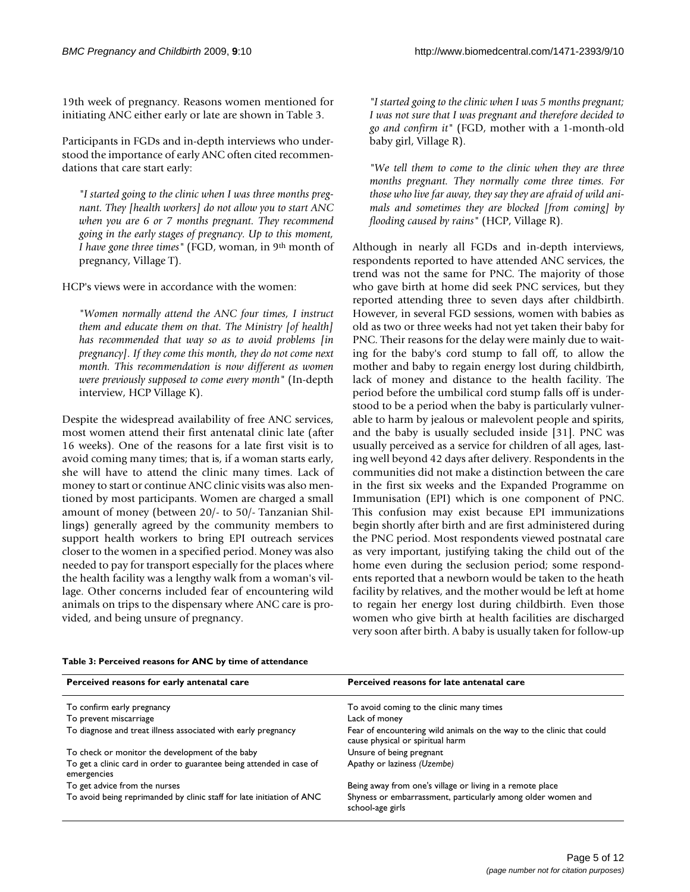19th week of pregnancy. Reasons women mentioned for initiating ANC either early or late are shown in Table [3](#page-4-0).

Participants in FGDs and in-depth interviews who understood the importance of early ANC often cited recommendations that care start early:

*"I started going to the clinic when I was three months pregnant. They [health workers] do not allow you to start ANC when you are 6 or 7 months pregnant. They recommend going in the early stages of pregnancy. Up to this moment, I have gone three times"* (FGD, woman, in 9th month of pregnancy, Village T).

HCP's views were in accordance with the women:

*"Women normally attend the ANC four times, I instruct them and educate them on that. The Ministry [of health] has recommended that way so as to avoid problems [in pregnancy]. If they come this month, they do not come next month. This recommendation is now different as women were previously supposed to come every month"* (In-depth interview, HCP Village K).

Despite the widespread availability of free ANC services, most women attend their first antenatal clinic late (after 16 weeks). One of the reasons for a late first visit is to avoid coming many times; that is, if a woman starts early, she will have to attend the clinic many times. Lack of money to start or continue ANC clinic visits was also mentioned by most participants. Women are charged a small amount of money (between 20/- to 50/- Tanzanian Shillings) generally agreed by the community members to support health workers to bring EPI outreach services closer to the women in a specified period. Money was also needed to pay for transport especially for the places where the health facility was a lengthy walk from a woman's village. Other concerns included fear of encountering wild animals on trips to the dispensary where ANC care is provided, and being unsure of pregnancy.

*"I started going to the clinic when I was 5 months pregnant; I was not sure that I was pregnant and therefore decided to go and confirm it"* (FGD, mother with a 1-month-old baby girl, Village R).

*"We tell them to come to the clinic when they are three months pregnant. They normally come three times. For those who live far away, they say they are afraid of wild animals and sometimes they are blocked [from coming] by flooding caused by rains"* (HCP, Village R).

Although in nearly all FGDs and in-depth interviews, respondents reported to have attended ANC services, the trend was not the same for PNC. The majority of those who gave birth at home did seek PNC services, but they reported attending three to seven days after childbirth. However, in several FGD sessions, women with babies as old as two or three weeks had not yet taken their baby for PNC. Their reasons for the delay were mainly due to waiting for the baby's cord stump to fall off, to allow the mother and baby to regain energy lost during childbirth, lack of money and distance to the health facility. The period before the umbilical cord stump falls off is understood to be a period when the baby is particularly vulnerable to harm by jealous or malevolent people and spirits, and the baby is usually secluded inside [[31](#page-10-21)]. PNC was usually perceived as a service for children of all ages, lasting well beyond 42 days after delivery. Respondents in the communities did not make a distinction between the care in the first six weeks and the Expanded Programme on Immunisation (EPI) which is one component of PNC. This confusion may exist because EPI immunizations begin shortly after birth and are first administered during the PNC period. Most respondents viewed postnatal care as very important, justifying taking the child out of the home even during the seclusion period; some respondents reported that a newborn would be taken to the heath facility by relatives, and the mother would be left at home to regain her energy lost during childbirth. Even those women who give birth at health facilities are discharged very soon after birth. A baby is usually taken for follow-up

| Perceived reasons for early antenatal care                                          | Perceived reasons for late antenatal care                                                                 |
|-------------------------------------------------------------------------------------|-----------------------------------------------------------------------------------------------------------|
| To confirm early pregnancy                                                          | To avoid coming to the clinic many times                                                                  |
| To prevent miscarriage                                                              | Lack of money                                                                                             |
| To diagnose and treat illness associated with early pregnancy                       | Fear of encountering wild animals on the way to the clinic that could<br>cause physical or spiritual harm |
| To check or monitor the development of the baby                                     | Unsure of being pregnant                                                                                  |
| To get a clinic card in order to guarantee being attended in case of<br>emergencies | Apathy or laziness (Uzembe)                                                                               |
| To get advice from the nurses                                                       | Being away from one's village or living in a remote place                                                 |
| To avoid being reprimanded by clinic staff for late initiation of ANC               | Shyness or embarrassment, particularly among older women and<br>school-age girls                          |

#### <span id="page-4-0"></span>**Table 3: Perceived reasons for ANC by time of attendance**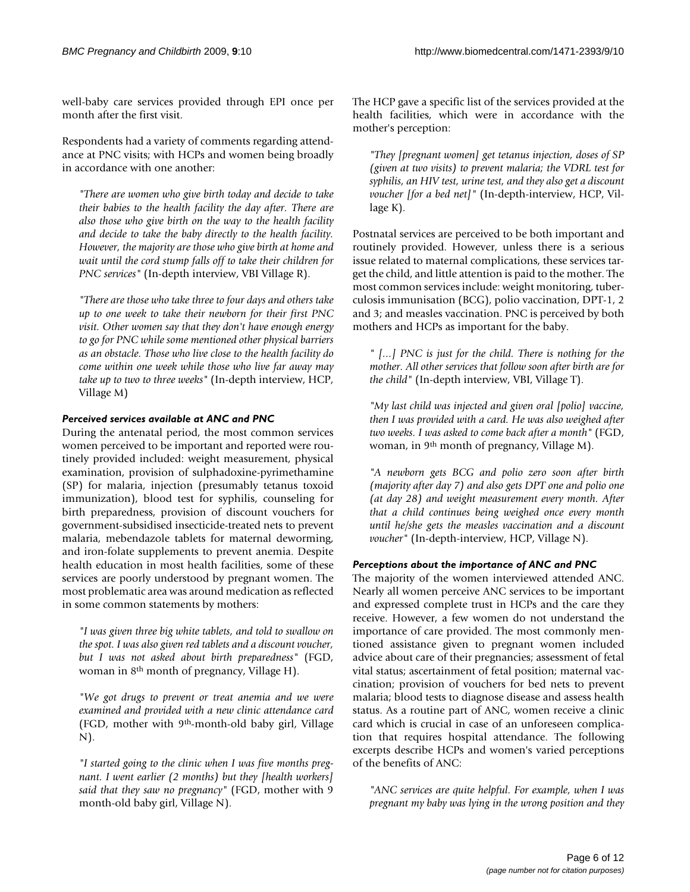well-baby care services provided through EPI once per month after the first visit.

Respondents had a variety of comments regarding attendance at PNC visits; with HCPs and women being broadly in accordance with one another:

*"There are women who give birth today and decide to take their babies to the health facility the day after. There are also those who give birth on the way to the health facility and decide to take the baby directly to the health facility. However, the majority are those who give birth at home and wait until the cord stump falls off to take their children for PNC services"* (In-depth interview, VBI Village R).

*"There are those who take three to four days and others take up to one week to take their newborn for their first PNC visit. Other women say that they don't have enough energy to go for PNC while some mentioned other physical barriers as an obstacle. Those who live close to the health facility do come within one week while those who live far away may take up to two to three weeks"* (In-depth interview, HCP, Village M)

#### *Perceived services available at ANC and PNC*

During the antenatal period, the most common services women perceived to be important and reported were routinely provided included: weight measurement, physical examination, provision of sulphadoxine-pyrimethamine (SP) for malaria, injection (presumably tetanus toxoid immunization), blood test for syphilis, counseling for birth preparedness, provision of discount vouchers for government-subsidised insecticide-treated nets to prevent malaria, mebendazole tablets for maternal deworming, and iron-folate supplements to prevent anemia. Despite health education in most health facilities, some of these services are poorly understood by pregnant women. The most problematic area was around medication as reflected in some common statements by mothers:

*"I was given three big white tablets, and told to swallow on the spot. I was also given red tablets and a discount voucher, but I was not asked about birth preparedness"* (FGD, woman in 8th month of pregnancy, Village H).

*"We got drugs to prevent or treat anemia and we were examined and provided with a new clinic attendance card* (FGD, mother with 9th-month-old baby girl, Village N).

*"I started going to the clinic when I was five months pregnant. I went earlier (2 months) but they [health workers] said that they saw no pregnancy"* (FGD, mother with 9 month-old baby girl, Village N).

The HCP gave a specific list of the services provided at the health facilities, which were in accordance with the mother's perception:

*"They [pregnant women] get tetanus injection, doses of SP (given at two visits) to prevent malaria; the VDRL test for syphilis, an HIV test, urine test, and they also get a discount voucher [for a bed net]"* (In-depth-interview, HCP, Village K).

Postnatal services are perceived to be both important and routinely provided. However, unless there is a serious issue related to maternal complications, these services target the child, and little attention is paid to the mother. The most common services include: weight monitoring, tuberculosis immunisation (BCG), polio vaccination, DPT-1, 2 and 3; and measles vaccination. PNC is perceived by both mothers and HCPs as important for the baby.

*" [...] PNC is just for the child. There is nothing for the mother. All other services that follow soon after birth are for the child"* (In-depth interview, VBI, Village T).

*"My last child was injected and given oral [polio] vaccine, then I was provided with a card. He was also weighed after two weeks. I was asked to come back after a month"* (FGD, woman, in 9th month of pregnancy, Village M).

*"A newborn gets BCG and polio zero soon after birth (majority after day 7) and also gets DPT one and polio one (at day 28) and weight measurement every month. After that a child continues being weighed once every month until he/she gets the measles vaccination and a discount voucher"* (In-depth-interview, HCP, Village N).

#### *Perceptions about the importance of ANC and PNC*

The majority of the women interviewed attended ANC. Nearly all women perceive ANC services to be important and expressed complete trust in HCPs and the care they receive. However, a few women do not understand the importance of care provided. The most commonly mentioned assistance given to pregnant women included advice about care of their pregnancies; assessment of fetal vital status; ascertainment of fetal position; maternal vaccination; provision of vouchers for bed nets to prevent malaria; blood tests to diagnose disease and assess health status. As a routine part of ANC, women receive a clinic card which is crucial in case of an unforeseen complication that requires hospital attendance. The following excerpts describe HCPs and women's varied perceptions of the benefits of ANC:

*"ANC services are quite helpful. For example, when I was pregnant my baby was lying in the wrong position and they*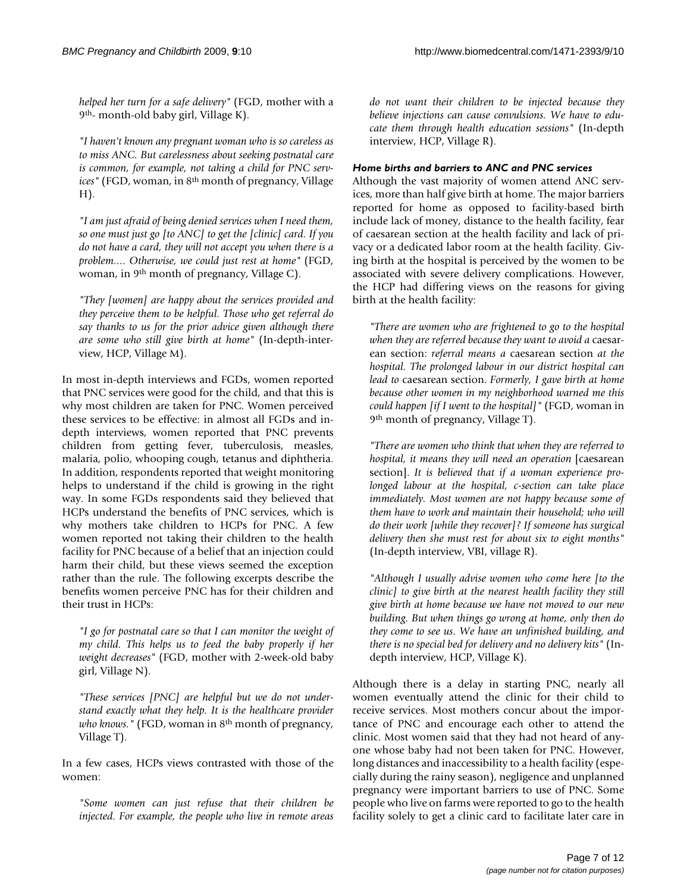*helped her turn for a safe delivery"* (FGD, mother with a 9th- month-old baby girl, Village K).

*"I haven't known any pregnant woman who is so careless as to miss ANC. But carelessness about seeking postnatal care is common, for example, not taking a child for PNC services"* (FGD, woman, in 8th month of pregnancy, Village H).

*"I am just afraid of being denied services when I need them, so one must just go [to ANC] to get the [clinic] card. If you do not have a card, they will not accept you when there is a problem.... Otherwise, we could just rest at home"* (FGD, woman, in 9th month of pregnancy, Village C).

*"They [women] are happy about the services provided and they perceive them to be helpful. Those who get referral do say thanks to us for the prior advice given although there are some who still give birth at home"* (In-depth-interview, HCP, Village M).

In most in-depth interviews and FGDs, women reported that PNC services were good for the child, and that this is why most children are taken for PNC. Women perceived these services to be effective: in almost all FGDs and indepth interviews, women reported that PNC prevents children from getting fever, tuberculosis, measles, malaria, polio, whooping cough, tetanus and diphtheria. In addition, respondents reported that weight monitoring helps to understand if the child is growing in the right way. In some FGDs respondents said they believed that HCPs understand the benefits of PNC services, which is why mothers take children to HCPs for PNC. A few women reported not taking their children to the health facility for PNC because of a belief that an injection could harm their child, but these views seemed the exception rather than the rule. The following excerpts describe the benefits women perceive PNC has for their children and their trust in HCPs:

*"I go for postnatal care so that I can monitor the weight of my child. This helps us to feed the baby properly if her weight decreases"* (FGD, mother with 2-week-old baby girl, Village N).

*"These services [PNC] are helpful but we do not understand exactly what they help. It is the healthcare provider who knows."* (FGD, woman in 8<sup>th</sup> month of pregnancy, Village T).

In a few cases, HCPs views contrasted with those of the women:

*"Some women can just refuse that their children be injected. For example, the people who live in remote areas*

*do not want their children to be injected because they believe injections can cause convulsions. We have to educate them through health education sessions"* (In-depth interview, HCP, Village R).

# *Home births and barriers to ANC and PNC services*

Although the vast majority of women attend ANC services, more than half give birth at home. The major barriers reported for home as opposed to facility-based birth include lack of money, distance to the health facility, fear of caesarean section at the health facility and lack of privacy or a dedicated labor room at the health facility. Giving birth at the hospital is perceived by the women to be associated with severe delivery complications. However, the HCP had differing views on the reasons for giving birth at the health facility:

*"There are women who are frightened to go to the hospital when they are referred because they want to avoid a* caesarean section: *referral means a* caesarean section *at the hospital. The prolonged labour in our district hospital can lead to* caesarean section. *Formerly, I gave birth at home because other women in my neighborhood warned me this could happen [if I went to the hospital]"* (FGD, woman in 9th month of pregnancy, Village T).

*"There are women who think that when they are referred to hospital, it means they will need an operation* [caesarean section]. *It is believed that if a woman experience prolonged labour at the hospital, c-section can take place immediately. Most women are not happy because some of them have to work and maintain their household; who will do their work [while they recover]? If someone has surgical delivery then she must rest for about six to eight months"* (In-depth interview, VBI, village R).

*"Although I usually advise women who come here [to the clinic] to give birth at the nearest health facility they still give birth at home because we have not moved to our new building. But when things go wrong at home, only then do they come to see us. We have an unfinished building, and there is no special bed for delivery and no delivery kits"* (Indepth interview, HCP, Village K).

Although there is a delay in starting PNC, nearly all women eventually attend the clinic for their child to receive services. Most mothers concur about the importance of PNC and encourage each other to attend the clinic. Most women said that they had not heard of anyone whose baby had not been taken for PNC. However, long distances and inaccessibility to a health facility (especially during the rainy season), negligence and unplanned pregnancy were important barriers to use of PNC. Some people who live on farms were reported to go to the health facility solely to get a clinic card to facilitate later care in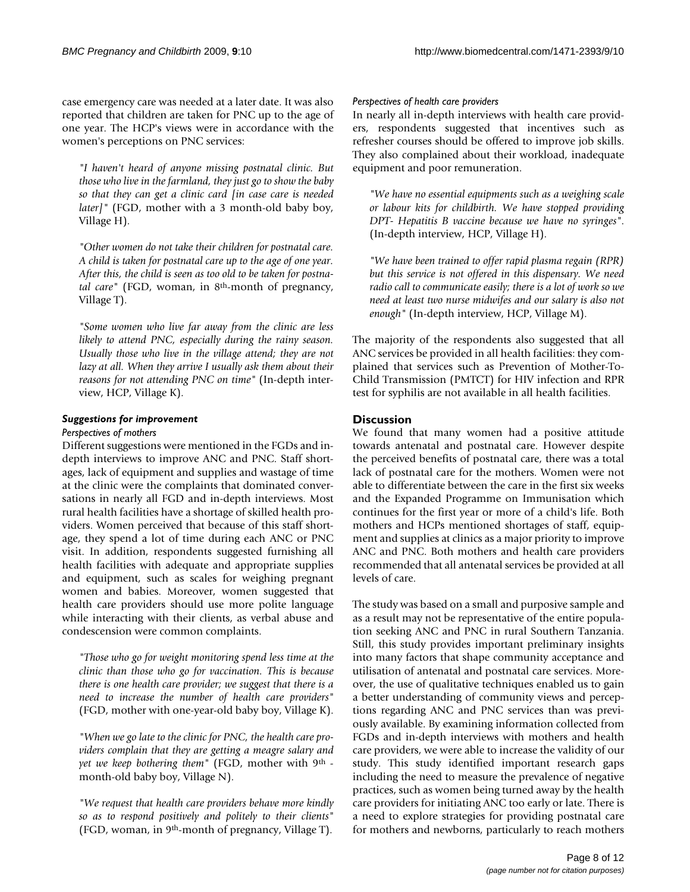case emergency care was needed at a later date. It was also reported that children are taken for PNC up to the age of one year. The HCP's views were in accordance with the women's perceptions on PNC services:

*"I haven't heard of anyone missing postnatal clinic. But those who live in the farmland, they just go to show the baby so that they can get a clinic card [in case care is needed later]*" (FGD, mother with a 3 month-old baby boy, Village H).

*"Other women do not take their children for postnatal care. A child is taken for postnatal care up to the age of one year. After this, the child is seen as too old to be taken for postna*tal care" (FGD, woman, in 8<sup>th</sup>-month of pregnancy, Village T).

*"Some women who live far away from the clinic are less likely to attend PNC, especially during the rainy season. Usually those who live in the village attend; they are not lazy at all. When they arrive I usually ask them about their reasons for not attending PNC on time"* (In-depth interview, HCP, Village K).

### *Suggestions for improvement*

#### *Perspectives of mothers*

Different suggestions were mentioned in the FGDs and indepth interviews to improve ANC and PNC. Staff shortages, lack of equipment and supplies and wastage of time at the clinic were the complaints that dominated conversations in nearly all FGD and in-depth interviews. Most rural health facilities have a shortage of skilled health providers. Women perceived that because of this staff shortage, they spend a lot of time during each ANC or PNC visit. In addition, respondents suggested furnishing all health facilities with adequate and appropriate supplies and equipment, such as scales for weighing pregnant women and babies. Moreover, women suggested that health care providers should use more polite language while interacting with their clients, as verbal abuse and condescension were common complaints.

*"Those who go for weight monitoring spend less time at the clinic than those who go for vaccination. This is because there is one health care provider; we suggest that there is a need to increase the number of health care providers"* (FGD, mother with one-year-old baby boy, Village K).

*"When we go late to the clinic for PNC, the health care providers complain that they are getting a meagre salary and yet we keep bothering them"* (FGD, mother with 9<sup>th</sup> month-old baby boy, Village N).

*"We request that health care providers behave more kindly so as to respond positively and politely to their clients"* (FGD, woman, in 9th-month of pregnancy, Village T).

#### *Perspectives of health care providers*

In nearly all in-depth interviews with health care providers, respondents suggested that incentives such as refresher courses should be offered to improve job skills. They also complained about their workload, inadequate equipment and poor remuneration.

*"We have no essential equipments such as a weighing scale or labour kits for childbirth. We have stopped providing DPT- Hepatitis B vaccine because we have no syringes"*. (In-depth interview, HCP, Village H).

*"We have been trained to offer rapid plasma regain (RPR) but this service is not offered in this dispensary. We need radio call to communicate easily; there is a lot of work so we need at least two nurse midwifes and our salary is also not enough"* (In-depth interview, HCP, Village M).

The majority of the respondents also suggested that all ANC services be provided in all health facilities: they complained that services such as Prevention of Mother-To-Child Transmission (PMTCT) for HIV infection and RPR test for syphilis are not available in all health facilities.

# **Discussion**

We found that many women had a positive attitude towards antenatal and postnatal care. However despite the perceived benefits of postnatal care, there was a total lack of postnatal care for the mothers. Women were not able to differentiate between the care in the first six weeks and the Expanded Programme on Immunisation which continues for the first year or more of a child's life. Both mothers and HCPs mentioned shortages of staff, equipment and supplies at clinics as a major priority to improve ANC and PNC. Both mothers and health care providers recommended that all antenatal services be provided at all levels of care.

The study was based on a small and purposive sample and as a result may not be representative of the entire population seeking ANC and PNC in rural Southern Tanzania. Still, this study provides important preliminary insights into many factors that shape community acceptance and utilisation of antenatal and postnatal care services. Moreover, the use of qualitative techniques enabled us to gain a better understanding of community views and perceptions regarding ANC and PNC services than was previously available. By examining information collected from FGDs and in-depth interviews with mothers and health care providers, we were able to increase the validity of our study. This study identified important research gaps including the need to measure the prevalence of negative practices, such as women being turned away by the health care providers for initiating ANC too early or late. There is a need to explore strategies for providing postnatal care for mothers and newborns, particularly to reach mothers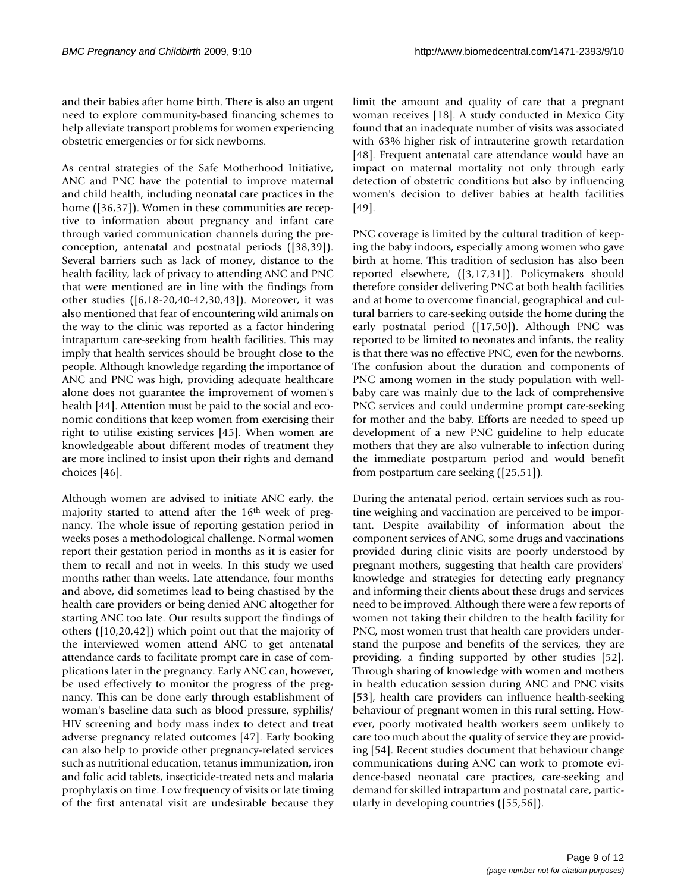and their babies after home birth. There is also an urgent need to explore community-based financing schemes to help alleviate transport problems for women experiencing obstetric emergencies or for sick newborns.

As central strategies of the Safe Motherhood Initiative, ANC and PNC have the potential to improve maternal and child health, including neonatal care practices in the home ([[36](#page-10-26),[37\]](#page-10-27)). Women in these communities are receptive to information about pregnancy and infant care through varied communication channels during the preconception, antenatal and postnatal periods ([\[38](#page-10-28)[,39](#page-10-29)]). Several barriers such as lack of money, distance to the health facility, lack of privacy to attending ANC and PNC that were mentioned are in line with the findings from other studies ([\[6](#page-10-0)[,18](#page-10-30)[-20](#page-10-10),[40](#page-10-31)-[42](#page-10-32),[30](#page-10-20)[,43](#page-10-33)]). Moreover, it was also mentioned that fear of encountering wild animals on the way to the clinic was reported as a factor hindering intrapartum care-seeking from health facilities. This may imply that health services should be brought close to the people. Although knowledge regarding the importance of ANC and PNC was high, providing adequate healthcare alone does not guarantee the improvement of women's health [[44\]](#page-10-34). Attention must be paid to the social and economic conditions that keep women from exercising their right to utilise existing services [\[45](#page-10-35)]. When women are knowledgeable about different modes of treatment they are more inclined to insist upon their rights and demand choices [[46\]](#page-10-36).

Although women are advised to initiate ANC early, the majority started to attend after the 16<sup>th</sup> week of pregnancy. The whole issue of reporting gestation period in weeks poses a methodological challenge. Normal women report their gestation period in months as it is easier for them to recall and not in weeks. In this study we used months rather than weeks. Late attendance, four months and above, did sometimes lead to being chastised by the health care providers or being denied ANC altogether for starting ANC too late. Our results support the findings of others ([[10,](#page-10-4)[20,](#page-10-10)[42](#page-10-32)]) which point out that the majority of the interviewed women attend ANC to get antenatal attendance cards to facilitate prompt care in case of complications later in the pregnancy. Early ANC can, however, be used effectively to monitor the progress of the pregnancy. This can be done early through establishment of woman's baseline data such as blood pressure, syphilis/ HIV screening and body mass index to detect and treat adverse pregnancy related outcomes [\[47](#page-10-37)]. Early booking can also help to provide other pregnancy-related services such as nutritional education, tetanus immunization, iron and folic acid tablets, insecticide-treated nets and malaria prophylaxis on time. Low frequency of visits or late timing of the first antenatal visit are undesirable because they limit the amount and quality of care that a pregnant woman receives [[18\]](#page-10-30). A study conducted in Mexico City found that an inadequate number of visits was associated with 63% higher risk of intrauterine growth retardation [[48](#page-10-38)]. Frequent antenatal care attendance would have an impact on maternal mortality not only through early detection of obstetric conditions but also by influencing women's decision to deliver babies at health facilities [[49](#page-10-39)].

PNC coverage is limited by the cultural tradition of keeping the baby indoors, especially among women who gave birth at home. This tradition of seclusion has also been reported elsewhere, ([\[3](#page-9-2)[,17](#page-10-9),[31](#page-10-21)]). Policymakers should therefore consider delivering PNC at both health facilities and at home to overcome financial, geographical and cultural barriers to care-seeking outside the home during the early postnatal period ([\[17](#page-10-9)[,50](#page-10-40)]). Although PNC was reported to be limited to neonates and infants, the reality is that there was no effective PNC, even for the newborns. The confusion about the duration and components of PNC among women in the study population with wellbaby care was mainly due to the lack of comprehensive PNC services and could undermine prompt care-seeking for mother and the baby. Efforts are needed to speed up development of a new PNC guideline to help educate mothers that they are also vulnerable to infection during the immediate postpartum period and would benefit from postpartum care seeking ([\[25](#page-10-15),[51](#page-10-41)]).

During the antenatal period, certain services such as routine weighing and vaccination are perceived to be important. Despite availability of information about the component services of ANC, some drugs and vaccinations provided during clinic visits are poorly understood by pregnant mothers, suggesting that health care providers' knowledge and strategies for detecting early pregnancy and informing their clients about these drugs and services need to be improved. Although there were a few reports of women not taking their children to the health facility for PNC, most women trust that health care providers understand the purpose and benefits of the services, they are providing, a finding supported by other studies [\[52](#page-10-42)]. Through sharing of knowledge with women and mothers in health education session during ANC and PNC visits [[53](#page-11-0)], health care providers can influence health-seeking behaviour of pregnant women in this rural setting. However, poorly motivated health workers seem unlikely to care too much about the quality of service they are providing [\[54](#page-11-1)]. Recent studies document that behaviour change communications during ANC can work to promote evidence-based neonatal care practices, care-seeking and demand for skilled intrapartum and postnatal care, particularly in developing countries ([[55,](#page-11-2)[56\]](#page-11-3)).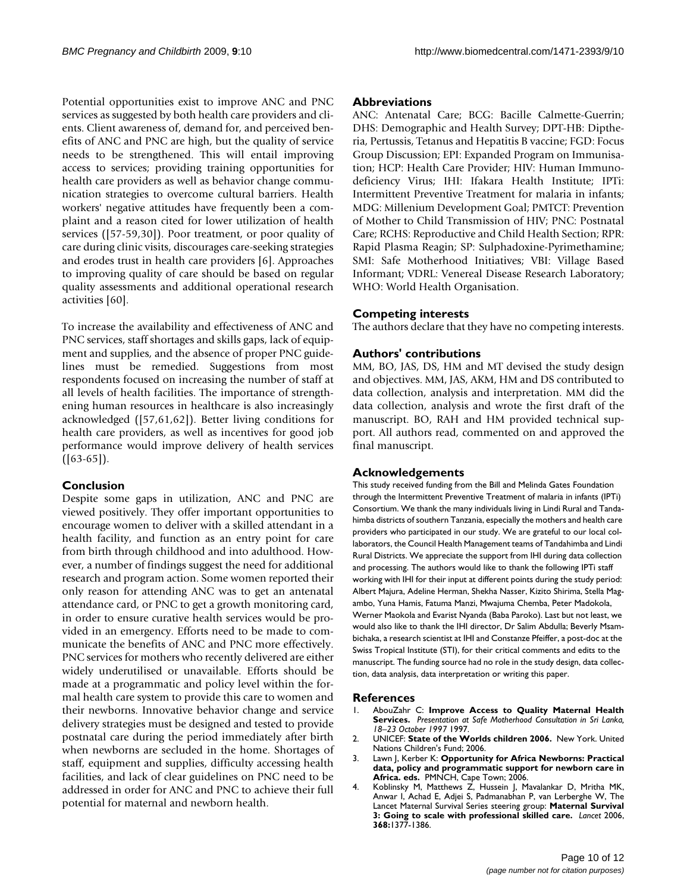Potential opportunities exist to improve ANC and PNC services as suggested by both health care providers and clients. Client awareness of, demand for, and perceived benefits of ANC and PNC are high, but the quality of service needs to be strengthened. This will entail improving access to services; providing training opportunities for health care providers as well as behavior change communication strategies to overcome cultural barriers. Health workers' negative attitudes have frequently been a complaint and a reason cited for lower utilization of health services ([[57](#page-11-4)[-59](#page-11-5),[30\]](#page-10-20)). Poor treatment, or poor quality of care during clinic visits, discourages care-seeking strategies and erodes trust in health care providers [[6](#page-10-0)]. Approaches to improving quality of care should be based on regular quality assessments and additional operational research activities [[60](#page-11-6)].

To increase the availability and effectiveness of ANC and PNC services, staff shortages and skills gaps, lack of equipment and supplies, and the absence of proper PNC guidelines must be remedied. Suggestions from most respondents focused on increasing the number of staff at all levels of health facilities. The importance of strengthening human resources in healthcare is also increasingly acknowledged ([[57,](#page-11-4)[61](#page-11-7),[62](#page-11-8)]). Better living conditions for health care providers, as well as incentives for good job performance would improve delivery of health services  $([63-65]).$  $([63-65]).$  $([63-65]).$  $([63-65]).$ 

# **Conclusion**

Despite some gaps in utilization, ANC and PNC are viewed positively. They offer important opportunities to encourage women to deliver with a skilled attendant in a health facility, and function as an entry point for care from birth through childhood and into adulthood. However, a number of findings suggest the need for additional research and program action. Some women reported their only reason for attending ANC was to get an antenatal attendance card, or PNC to get a growth monitoring card, in order to ensure curative health services would be provided in an emergency. Efforts need to be made to communicate the benefits of ANC and PNC more effectively. PNC services for mothers who recently delivered are either widely underutilised or unavailable. Efforts should be made at a programmatic and policy level within the formal health care system to provide this care to women and their newborns. Innovative behavior change and service delivery strategies must be designed and tested to provide postnatal care during the period immediately after birth when newborns are secluded in the home. Shortages of staff, equipment and supplies, difficulty accessing health facilities, and lack of clear guidelines on PNC need to be addressed in order for ANC and PNC to achieve their full potential for maternal and newborn health.

### **Abbreviations**

ANC: Antenatal Care; BCG: Bacille Calmette-Guerrin; DHS: Demographic and Health Survey; DPT-HB: Diptheria, Pertussis, Tetanus and Hepatitis B vaccine; FGD: Focus Group Discussion; EPI: Expanded Program on Immunisation; HCP: Health Care Provider; HIV: Human Immunodeficiency Virus; IHI: Ifakara Health Institute; IPTi: Intermittent Preventive Treatment for malaria in infants; MDG: Millenium Development Goal; PMTCT: Prevention of Mother to Child Transmission of HIV; PNC: Postnatal Care; RCHS: Reproductive and Child Health Section; RPR: Rapid Plasma Reagin; SP: Sulphadoxine-Pyrimethamine; SMI: Safe Motherhood Initiatives; VBI: Village Based Informant; VDRL: Venereal Disease Research Laboratory; WHO: World Health Organisation.

# **Competing interests**

The authors declare that they have no competing interests.

### **Authors' contributions**

MM, BO, JAS, DS, HM and MT devised the study design and objectives. MM, JAS, AKM, HM and DS contributed to data collection, analysis and interpretation. MM did the data collection, analysis and wrote the first draft of the manuscript. BO, RAH and HM provided technical support. All authors read, commented on and approved the final manuscript.

#### **Acknowledgements**

This study received funding from the Bill and Melinda Gates Foundation through the Intermittent Preventive Treatment of malaria in infants (IPTi) Consortium. We thank the many individuals living in Lindi Rural and Tandahimba districts of southern Tanzania, especially the mothers and health care providers who participated in our study. We are grateful to our local collaborators, the Council Health Management teams of Tandahimba and Lindi Rural Districts. We appreciate the support from IHI during data collection and processing. The authors would like to thank the following IPTi staff working with IHI for their input at different points during the study period: Albert Majura, Adeline Herman, Shekha Nasser, Kizito Shirima, Stella Magambo, Yuna Hamis, Fatuma Manzi, Mwajuma Chemba, Peter Madokola, Werner Maokola and Evarist Nyanda (Baba Paroko). Last but not least, we would also like to thank the IHI director, Dr Salim Abdulla; Beverly Msambichaka, a research scientist at IHI and Constanze Pfeiffer, a post-doc at the Swiss Tropical Institute (STI), for their critical comments and edits to the manuscript. The funding source had no role in the study design, data collection, data analysis, data interpretation or writing this paper.

#### **References**

- <span id="page-9-0"></span>1. AbouZahr C: **Improve Access to Quality Maternal Health Services.** *Presentation at Safe Motherhood Consultation in Sri Lanka, 18–23 October 1997* 1997.
- <span id="page-9-1"></span>2. UNICEF: **State of the Worlds children 2006.** New York. United Nations Children's Fund; 2006.
- <span id="page-9-2"></span>3. Lawn J, Kerber K: **Opportunity for Africa Newborns: Practical data, policy and programmatic support for newborn care in Africa. eds.** PMNCH, Cape Town; 2006.
- <span id="page-9-3"></span>4. Koblinsky M, Matthews Z, Hussein J, Mavalankar D, Mritha MK, Anwar I, Achad E, Adjei S, Padmanabhan P, van Lerberghe W, The Lancet Maternal Survival Series steering group: **[Maternal Survival](http://www.ncbi.nlm.nih.gov/entrez/query.fcgi?cmd=Retrieve&db=PubMed&dopt=Abstract&list_uids=17046470) [3: Going to scale with professional skilled care.](http://www.ncbi.nlm.nih.gov/entrez/query.fcgi?cmd=Retrieve&db=PubMed&dopt=Abstract&list_uids=17046470)** *Lancet* 2006, **368:**1377-1386.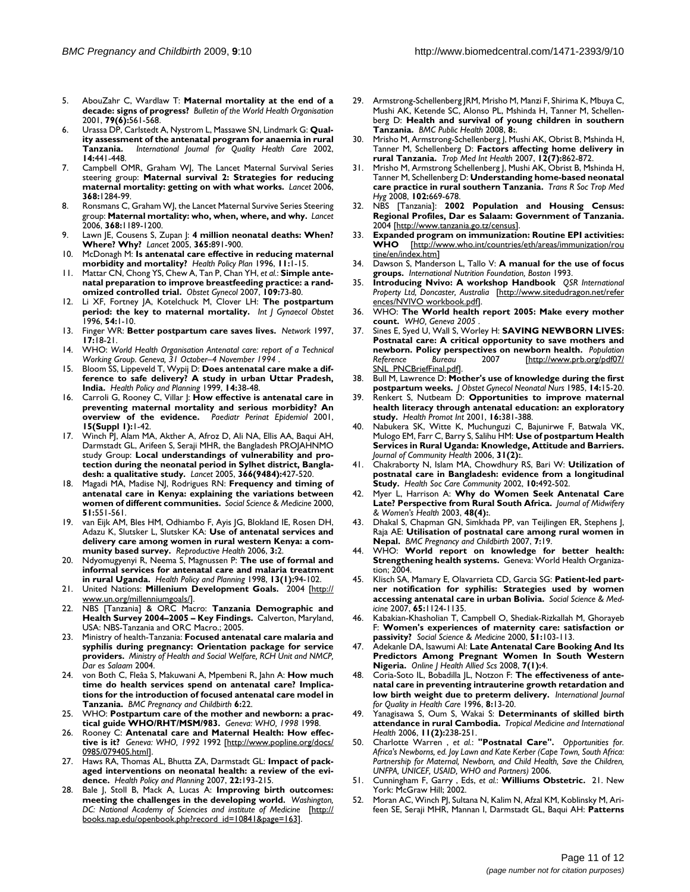- 5. AbouZahr C, Wardlaw T: **Maternal mortality at the end of a decade: signs of progress?** *Bulletin of the World Health Organisation* 2001, **79(6):**561-568.
- <span id="page-10-0"></span>6. Urassa DP, Carlstedt A, Nystrom L, Massawe SN, Lindmark G: **Quality assessment of the antenatal program for anaemia in rural Tanzania.** *International Journal for Quality Health Care* 2002, **14:**441-448.
- <span id="page-10-1"></span>Campbell OMR, Graham WJ, The Lancet Maternal Survival Series steering group: **[Maternal survival 2: Strategies for reducing](http://www.ncbi.nlm.nih.gov/entrez/query.fcgi?cmd=Retrieve&db=PubMed&dopt=Abstract&list_uids=17027735) [maternal mortality: getting on with what works.](http://www.ncbi.nlm.nih.gov/entrez/query.fcgi?cmd=Retrieve&db=PubMed&dopt=Abstract&list_uids=17027735)** *Lancet* 2006, **368:**1284-99.
- <span id="page-10-2"></span>Ronsmans C, Graham WJ, the Lancet Maternal Survive Series Steering group: **[Maternal mortality: who, when, where, and why.](http://www.ncbi.nlm.nih.gov/entrez/query.fcgi?cmd=Retrieve&db=PubMed&dopt=Abstract&list_uids=17011946)** *Lancet* 2006, **368:**1189-1200.
- <span id="page-10-3"></span>9. Lawn JE, Cousens S, Zupan J: **[4 million neonatal deaths: When?](http://www.ncbi.nlm.nih.gov/entrez/query.fcgi?cmd=Retrieve&db=PubMed&dopt=Abstract&list_uids=15752534) [Where? Why?](http://www.ncbi.nlm.nih.gov/entrez/query.fcgi?cmd=Retrieve&db=PubMed&dopt=Abstract&list_uids=15752534)** *Lancet* 2005, **365:**891-900.
- <span id="page-10-4"></span>10. McDonagh M: **[Is antenatal care effective in reducing maternal](http://www.ncbi.nlm.nih.gov/entrez/query.fcgi?cmd=Retrieve&db=PubMed&dopt=Abstract&list_uids=10155875) [morbidity and mortality?](http://www.ncbi.nlm.nih.gov/entrez/query.fcgi?cmd=Retrieve&db=PubMed&dopt=Abstract&list_uids=10155875)** *Health Policy Plan* 1996, **11:**1-15.
- 11. Mattar CN, Chong YS, Chew A, Tan P, Chan YH, *et al.*: **[Simple ante](http://www.ncbi.nlm.nih.gov/entrez/query.fcgi?cmd=Retrieve&db=PubMed&dopt=Abstract&list_uids=17197590)[natal preparation to improve breastfeeding practice: a rand](http://www.ncbi.nlm.nih.gov/entrez/query.fcgi?cmd=Retrieve&db=PubMed&dopt=Abstract&list_uids=17197590)[omized controlled trial.](http://www.ncbi.nlm.nih.gov/entrez/query.fcgi?cmd=Retrieve&db=PubMed&dopt=Abstract&list_uids=17197590)** *Obstet Gynecol* 2007, **109:**73-80.
- 12. Li XF, Fortney JA, Kotelchuck M, Clover LH: **[The postpartum](http://www.ncbi.nlm.nih.gov/entrez/query.fcgi?cmd=Retrieve&db=PubMed&dopt=Abstract&list_uids=8842811) [period: the key to maternal mortality.](http://www.ncbi.nlm.nih.gov/entrez/query.fcgi?cmd=Retrieve&db=PubMed&dopt=Abstract&list_uids=8842811)** *Int J Gynaecol Obstet* 1996, **54:**1-10.
- <span id="page-10-5"></span>13. Finger WR: **[Better postpartum care saves lives.](http://www.ncbi.nlm.nih.gov/entrez/query.fcgi?cmd=Retrieve&db=PubMed&dopt=Abstract&list_uids=12292683)** *Network* 1997, **17:**18-21.
- <span id="page-10-6"></span>14. WHO: *World Health Organisation Antenatal care: report of a Technical Working Group. Geneva, 31 October–4 November 1994* .
- <span id="page-10-7"></span>15. Bloom SS, Lippeveld T, Wypij D: **Does antenatal care make a difference to safe delivery? A study in urban Uttar Pradesh, India.** *Health Policy and Planning* 1999, **14:**38-48.
- <span id="page-10-8"></span>16. Carroli G, Rooney C, Villar J: **[How effective is antenatal care in](http://www.ncbi.nlm.nih.gov/entrez/query.fcgi?cmd=Retrieve&db=PubMed&dopt=Abstract&list_uids=11243499) [preventing maternal mortality and serious morbidity? An](http://www.ncbi.nlm.nih.gov/entrez/query.fcgi?cmd=Retrieve&db=PubMed&dopt=Abstract&list_uids=11243499) [overview of the evidence.](http://www.ncbi.nlm.nih.gov/entrez/query.fcgi?cmd=Retrieve&db=PubMed&dopt=Abstract&list_uids=11243499)** *Paediatr Perinat Epidemiol* 2001, **15(Suppl 1):**1-42.
- <span id="page-10-9"></span>17. Winch PJ, Alam MA, Akther A, Afroz D, Ali NA, Ellis AA, Baqui AH, Darmstadt GL, Arifeen S, Seraji MHR, the Bangladesh PROJAHNMO study Group: **[Local understandings of vulnerability and pro](http://www.ncbi.nlm.nih.gov/entrez/query.fcgi?cmd=Retrieve&db=PubMed&dopt=Abstract&list_uids=16089000)[tection during the neonatal period in Sylhet district, Bangla](http://www.ncbi.nlm.nih.gov/entrez/query.fcgi?cmd=Retrieve&db=PubMed&dopt=Abstract&list_uids=16089000)[desh: a qualitative study.](http://www.ncbi.nlm.nih.gov/entrez/query.fcgi?cmd=Retrieve&db=PubMed&dopt=Abstract&list_uids=16089000)** *Lancet* 2005, **366(9484):**427-520.
- <span id="page-10-30"></span>18. Magadi MA, Madise NJ, Rodrigues RN: **Frequency and timing of antenatal care in Kenya: explaining the variations between women of different communities.** *Social Science & Medicine* 2000, **51:**551-561.
- 19. van Eijk AM, Bles HM, Odhiambo F, Ayis JG, Blokland IE, Rosen DH, Adazu K, Slutsker L, Slutsker KA: **[Use of antenatal services and](http://www.ncbi.nlm.nih.gov/entrez/query.fcgi?cmd=Retrieve&db=PubMed&dopt=Abstract&list_uids=16597344) [delivery care among women in rural western Kenya: a com](http://www.ncbi.nlm.nih.gov/entrez/query.fcgi?cmd=Retrieve&db=PubMed&dopt=Abstract&list_uids=16597344)[munity based survey.](http://www.ncbi.nlm.nih.gov/entrez/query.fcgi?cmd=Retrieve&db=PubMed&dopt=Abstract&list_uids=16597344)** *Reproductive Health* 2006, **3:**2.
- <span id="page-10-10"></span>20. Ndyomugyenyi R, Neema S, Magnussen P: **The use of formal and informal services for antenatal care and malaria treatment in rural Uganda.** *Health Policy and Planning* 1998, **13(1):**94-102.
- <span id="page-10-11"></span>21. United Nations: **Millenium Development Goals.** 2004 [[http://](http://www.un.org/millenniumgoals/) [www.un.org/millenniumgoals/\]](http://www.un.org/millenniumgoals/).
- <span id="page-10-12"></span>22. NBS [Tanzania] & ORC Macro: **Tanzania Demographic and Health Survey 2004–2005 – Key Findings.** Calverton, Maryland, USA: NBS-Tanzania and ORC Macro.; 2005.
- <span id="page-10-13"></span>23. Ministry of health-Tanzania: **Focused antenatal care malaria and syphilis during pregnancy: Orientation package for service providers.** *Ministry of Health and Social Welfare, RCH Unit and NMCP, Dar es Salaam* 2004.
- <span id="page-10-14"></span>24. von Both C, Fleâa S, Makuwani A, Mpembeni R, Jahn A: **How much time do health services spend on antenatal care? Implications for the introduction of focused antenatal care model in Tanzania.** *BMC Pregnancy and Childbirth* **6:**22.
- <span id="page-10-15"></span>25. WHO: **Postpartum care of the mother and newborn: a practical guide WHO/RHT/MSM/983.** *Geneva: WHO, 1998* 1998.
- <span id="page-10-16"></span>26. Rooney C: **Antenatal care and Maternal Health: How effective is it?** *Geneva: WHO, 1992* 1992 [\[http://www.popline.org/docs/](http://www.popline.org/docs/0985/079405.html) [0985/079405.html\]](http://www.popline.org/docs/0985/079405.html).
- <span id="page-10-17"></span>27. Haws RA, Thomas AL, Bhutta ZA, Darmstadt GL: **Impact of packaged interventions on neonatal health: a review of the evidence.** *Health Policy and Planning* 2007, **22:**193-215.
- <span id="page-10-18"></span>28. Bale J, Stoll B, Mack A, Lucas A: **Improving birth outcomes: meeting the challenges in the developing world.** *Washington, DC: National Academy of Sciencies and institute of Medicine* [[http://](http://books.nap.edu/openbook.php?record_id=10841&page=163) [books.nap.edu/openbook.php?record\\_id=10841&page=163](http://books.nap.edu/openbook.php?record_id=10841&page=163)].
- <span id="page-10-19"></span>29. Armstrong-Schellenberg JRM, Mrisho M, Manzi F, Shirima K, Mbuya C, Mushi AK, Ketende SC, Alonso PL, Mshinda H, Tanner M, Schellenberg D: **[Health and survival of young children in southern](http://www.ncbi.nlm.nih.gov/entrez/query.fcgi?cmd=Retrieve&db=PubMed&dopt=Abstract&list_uids=18522737) [Tanzania.](http://www.ncbi.nlm.nih.gov/entrez/query.fcgi?cmd=Retrieve&db=PubMed&dopt=Abstract&list_uids=18522737)** *BMC Public Health* 2008, **8:**.
- <span id="page-10-20"></span>30. Mrisho M, Armstrong-Schellenberg J, Mushi AK, Obrist B, Mshinda H, Tanner M, Schellenberg D: **[Factors affecting home delivery in](http://www.ncbi.nlm.nih.gov/entrez/query.fcgi?cmd=Retrieve&db=PubMed&dopt=Abstract&list_uids=17596254) [rural Tanzania.](http://www.ncbi.nlm.nih.gov/entrez/query.fcgi?cmd=Retrieve&db=PubMed&dopt=Abstract&list_uids=17596254)** *Trop Med Int Health* 2007, **12(7):**862-872.
- <span id="page-10-21"></span>31. Mrisho M, Armstrong Schellenberg J, Mushi AK, Obrist B, Mshinda H, Tanner M, Schellenberg D: **[Understanding home-based neonatal](http://www.ncbi.nlm.nih.gov/entrez/query.fcgi?cmd=Retrieve&db=PubMed&dopt=Abstract&list_uids=18513769) [care practice in rural southern Tanzania.](http://www.ncbi.nlm.nih.gov/entrez/query.fcgi?cmd=Retrieve&db=PubMed&dopt=Abstract&list_uids=18513769)** *Trans R Soc Trop Med Hyg* 2008, **102:**669-678.
- <span id="page-10-22"></span>32. NBS [Tanzania]: **2002 Population and Housing Census: Regional Profiles, Dar es Salaam: Government of Tanzania.** 2004 [[http://www.tanzania.go.tz/census\]](http://www.tanzania.go.tz/census).
- <span id="page-10-23"></span>33. **Expanded program on immunization: Routine EPI activities: WHO** [\[http://www.who.int/countries/eth/areas/immunization/rou](http://www.who.int/countries/eth/areas/immunization/routine/en/index.htm) [tine/en/index.htm\]](http://www.who.int/countries/eth/areas/immunization/routine/en/index.htm)
- <span id="page-10-24"></span>34. Dawson S, Manderson L, Tallo V: **A manual for the use of focus groups.** *International Nutrition Foundation, Boston* 1993.
- <span id="page-10-25"></span>35. **Introducing Nvivo: A workshop Handbook** *QSR International Property Ltd, Doncaster, Australia* [\[http://www.sitedudragon.net/refer](http://www.sitedudragon.net/references/NVIVO workbook.pdf) [ences/NVIVO workbook.pdf\]](http://www.sitedudragon.net/references/NVIVO workbook.pdf).
- <span id="page-10-26"></span>36. WHO: **The World health report 2005: Make every mother count.** *WHO, Geneva 2005* .
- <span id="page-10-27"></span>37. Sines E, Syed U, Wall S, Worley H: **SAVING NEWBORN LIVES: Postnatal care: A critical opportunity to save mothers and newborn. Policy perspectives on newborn health.** *Population Reference Bureau* 2007 [\[http://www.prb.org/pdf07/](http://www.prb.org/pdf07/SNL_PNCBriefFinal.pdf) [SNL\\_PNCBriefFinal.pdf\]](http://www.prb.org/pdf07/SNL_PNCBriefFinal.pdf).
- <span id="page-10-28"></span>38. Bull M, Lawrence D: **Mother's use of knowledge during the first postpartum weeks.** *J Obstet Gynecol Neonatal Nurs* 1985, **14:**15-20.
- <span id="page-10-29"></span>39. Renkert S, Nutbeam D: **[Opportunities to improve maternal](http://www.ncbi.nlm.nih.gov/entrez/query.fcgi?cmd=Retrieve&db=PubMed&dopt=Abstract&list_uids=11733456) [health literacy through antenatal education: an exploratory](http://www.ncbi.nlm.nih.gov/entrez/query.fcgi?cmd=Retrieve&db=PubMed&dopt=Abstract&list_uids=11733456) [study.](http://www.ncbi.nlm.nih.gov/entrez/query.fcgi?cmd=Retrieve&db=PubMed&dopt=Abstract&list_uids=11733456)** *Health Promot Int* 2001, **16:**381-388.
- <span id="page-10-31"></span>40. Nabukera SK, Witte K, Muchunguzi C, Bajunirwe F, Batwala VK, Mulogo EM, Farr C, Barry S, Salihu HM: **[Use of postpartum Health](http://www.ncbi.nlm.nih.gov/entrez/query.fcgi?cmd=Retrieve&db=PubMed&dopt=Abstract&list_uids=16737170) [Services in Rural Uganda: Knowledge, Attitude and Barriers.](http://www.ncbi.nlm.nih.gov/entrez/query.fcgi?cmd=Retrieve&db=PubMed&dopt=Abstract&list_uids=16737170)** *Journal of Community Health* 2006, **31(2):**.
- 41. Chakraborty N, Islam MA, Chowdhury RS, Bari W: **[Utilization of](http://www.ncbi.nlm.nih.gov/entrez/query.fcgi?cmd=Retrieve&db=PubMed&dopt=Abstract&list_uids=12485137) [postnatal care in Bangladesh: evidence from a longitudinal](http://www.ncbi.nlm.nih.gov/entrez/query.fcgi?cmd=Retrieve&db=PubMed&dopt=Abstract&list_uids=12485137) [Study.](http://www.ncbi.nlm.nih.gov/entrez/query.fcgi?cmd=Retrieve&db=PubMed&dopt=Abstract&list_uids=12485137)** *Health Soc Care Community* 2002, **10:**492-502.
- <span id="page-10-32"></span>42. Myer L, Harrison A: **[Why do Women Seek Antenatal Care](http://www.ncbi.nlm.nih.gov/entrez/query.fcgi?cmd=Retrieve&db=PubMed&dopt=Abstract&list_uids=12867911) [Late? Perspective from Rural South Africa.](http://www.ncbi.nlm.nih.gov/entrez/query.fcgi?cmd=Retrieve&db=PubMed&dopt=Abstract&list_uids=12867911)** *Journal of Midwifery & Women's Health* 2003, **48(4):**.
- <span id="page-10-33"></span>43. Dhakal S, Chapman GN, Simkhada PP, van Teijlingen ER, Stephens J, Raja AE: **Utilisation of postnatal care among rural women in Nepal.** *BMC Pregnancy and Childbirth* 2007, **7:**19.
- <span id="page-10-34"></span>44. WHO: **World report on knowledge for better health: Strengthening health systems.** Geneva: World Health Organization; 2004.
- <span id="page-10-35"></span>45. Klisch SA, Mamary E, Olavarrieta CD, Garcia SG: **Patient-led partner notification for syphilis: Strategies used by women accessing antenatal care in urban Bolivia.** *Social Science & Medicine* 2007, **65:**1124-1135.
- <span id="page-10-36"></span>46. Kabakian-Khasholian T, Campbell O, Shediak-Rizkallah M, Ghorayeb F: **Women's experiences of maternity care: satisfaction or passivity?** *Social Science & Medicine* 2000, **51:**103-113.
- <span id="page-10-37"></span>Adekanle DA, Isawumi AI: Late Antenatal Care Booking And Its **Predictors Among Pregnant Women In South Western Nigeria.** *Online J Health Allied Scs* 2008, **7(1):**4.
- <span id="page-10-38"></span>48. Coria-Soto IL, Bobadilla JL, Notzon F: **[The effectiveness of ante](http://www.ncbi.nlm.nih.gov/entrez/query.fcgi?cmd=Retrieve&db=PubMed&dopt=Abstract&list_uids=8680812)[natal care in preventing intrauterine growth retardation and](http://www.ncbi.nlm.nih.gov/entrez/query.fcgi?cmd=Retrieve&db=PubMed&dopt=Abstract&list_uids=8680812) [low birth weight due to preterm delivery.](http://www.ncbi.nlm.nih.gov/entrez/query.fcgi?cmd=Retrieve&db=PubMed&dopt=Abstract&list_uids=8680812)** *International Journal for Quality in Health Care* 1996, **8:**13-20.
- <span id="page-10-39"></span>49. Yanagisawa S, Oum S, Wakai S: **Determinants of skilled birth attendance in rural Cambodia.** *Tropical Medicine and International Health* 2006, **11(2):**238-251.
- <span id="page-10-40"></span>50. Charlotte Warren , *et al.*: **"Postnatal Care".** *Opportunities for. Africa's Newborns, ed. Joy Lawn and Kate Kerber (Cape Town, South Africa: Partnership for Maternal, Newborn, and Child Health, Save the Children, UNFPA, UNICEF, USAID, WHO and Partners)* 2006.
- <span id="page-10-41"></span>51. Cunningham F, Garry , Eds, *et al.*: **Williums Obstetric.** 21. New York: McGraw Hill; 2002.
- <span id="page-10-42"></span>Moran AC, Winch PJ, Sultana N, Kalim N, Afzal KM, Koblinsky M, Arifeen SE, Seraji MHR, Mannan I, Darmstadt GL, Baqui AH: **Patterns**